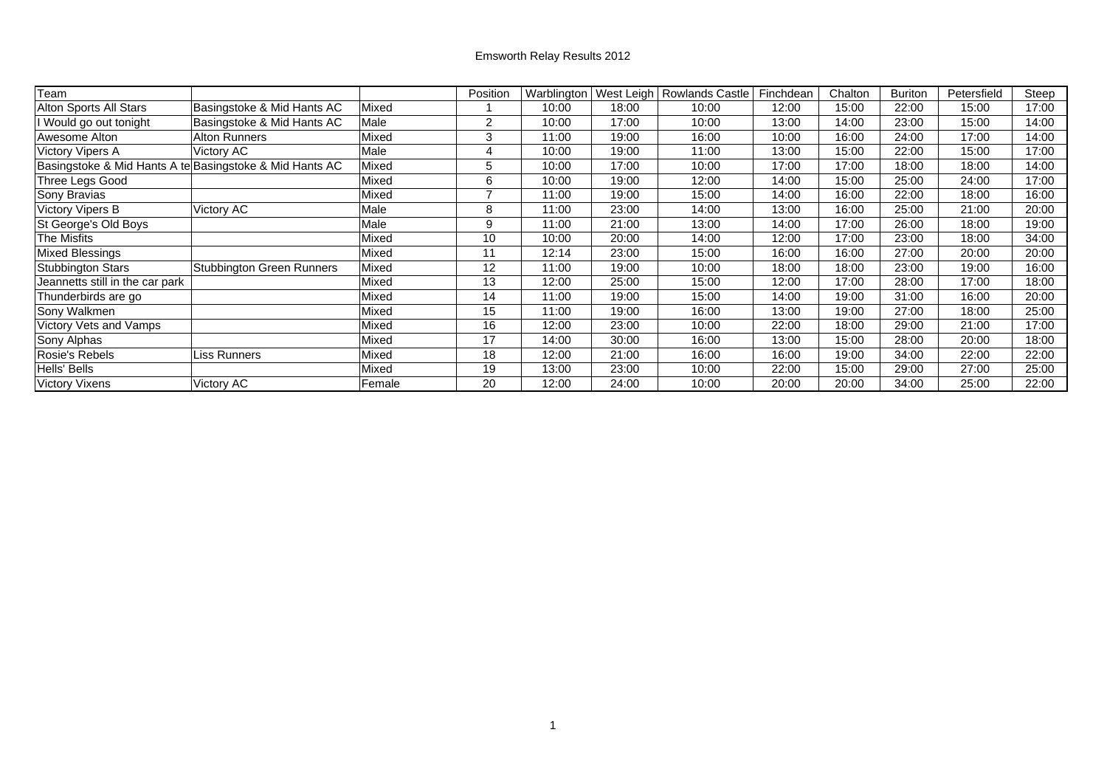## Emsworth Relay Results 2012

| Team                            |                                                         |        | Position | Warblington | West Leigh | <b>Rowlands Castle</b> | Finchdean | Chalton | <b>Buriton</b> | Petersfield | Steep |
|---------------------------------|---------------------------------------------------------|--------|----------|-------------|------------|------------------------|-----------|---------|----------------|-------------|-------|
| Alton Sports All Stars          | Basingstoke & Mid Hants AC                              | Mixed  |          | 10:00       | 18:00      | 10:00                  | 12:00     | 15:00   | 22:00          | 15:00       | 17:00 |
| I Would go out tonight          | Basingstoke & Mid Hants AC                              | Male   | 2        | 10:00       | 17:00      | 10:00                  | 13:00     | 14:00   | 23:00          | 15:00       | 14:00 |
| Awesome Alton                   | <b>Alton Runners</b>                                    | Mixed  | 3        | 11:00       | 19:00      | 16:00                  | 10:00     | 16:00   | 24:00          | 17:00       | 14:00 |
| <b>Victory Vipers A</b>         | Victory AC                                              | Male   | 4        | 10:00       | 19:00      | 11:00                  | 13:00     | 15:00   | 22:00          | 15:00       | 17:00 |
|                                 | Basingstoke & Mid Hants A te Basingstoke & Mid Hants AC | Mixed  | 5        | 10:00       | 17:00      | 10:00                  | 17:00     | 17:00   | 18:00          | 18:00       | 14:00 |
| Three Legs Good                 |                                                         | Mixed  | 6        | 10:00       | 19:00      | 12:00                  | 14:00     | 15:00   | 25:00          | 24:00       | 17:00 |
| Sony Bravias                    |                                                         | Mixed  |          | 11:00       | 19:00      | 15:00                  | 14:00     | 16:00   | 22:00          | 18:00       | 16:00 |
| Victory Vipers B                | Victory AC                                              | Male   | 8        | 11:00       | 23:00      | 14:00                  | 13:00     | 16:00   | 25:00          | 21:00       | 20:00 |
| St George's Old Boys            |                                                         | Male   | 9        | 11:00       | 21:00      | 13:00                  | 14:00     | 17:00   | 26:00          | 18:00       | 19:00 |
| The Misfits                     |                                                         | Mixed  | 10       | 10:00       | 20:00      | 14:00                  | 12:00     | 17:00   | 23:00          | 18:00       | 34:00 |
| Mixed Blessings                 |                                                         | Mixed  | 11       | 12:14       | 23:00      | 15:00                  | 16:00     | 16:00   | 27:00          | 20:00       | 20:00 |
| <b>Stubbington Stars</b>        | <b>Stubbington Green Runners</b>                        | Mixed  | 12       | 11:00       | 19:00      | 10:00                  | 18:00     | 18:00   | 23:00          | 19:00       | 16:00 |
| Jeannetts still in the car park |                                                         | Mixed  | 13       | 12:00       | 25:00      | 15:00                  | 12:00     | 17:00   | 28:00          | 17:00       | 18:00 |
| Thunderbirds are go             |                                                         | Mixed  | 14       | 11:00       | 19:00      | 15:00                  | 14:00     | 19:00   | 31:00          | 16:00       | 20:00 |
| Sony Walkmen                    |                                                         | Mixed  | 15       | 11:00       | 19:00      | 16:00                  | 13:00     | 19:00   | 27:00          | 18:00       | 25:00 |
| Victory Vets and Vamps          |                                                         | Mixed  | 16       | 12:00       | 23:00      | 10:00                  | 22:00     | 18:00   | 29:00          | 21:00       | 17:00 |
| Sony Alphas                     |                                                         | Mixed  | 17       | 14:00       | 30:00      | 16:00                  | 13:00     | 15:00   | 28:00          | 20:00       | 18:00 |
| Rosie's Rebels                  | Liss Runners                                            | Mixed  | 18       | 12:00       | 21:00      | 16:00                  | 16:00     | 19:00   | 34:00          | 22:00       | 22:00 |
| Hells' Bells                    |                                                         | Mixed  | 19       | 13:00       | 23:00      | 10:00                  | 22:00     | 15:00   | 29:00          | 27:00       | 25:00 |
| <b>Victory Vixens</b>           | Victory AC                                              | Female | 20       | 12:00       | 24:00      | 10:00                  | 20:00     | 20:00   | 34:00          | 25:00       | 22:00 |